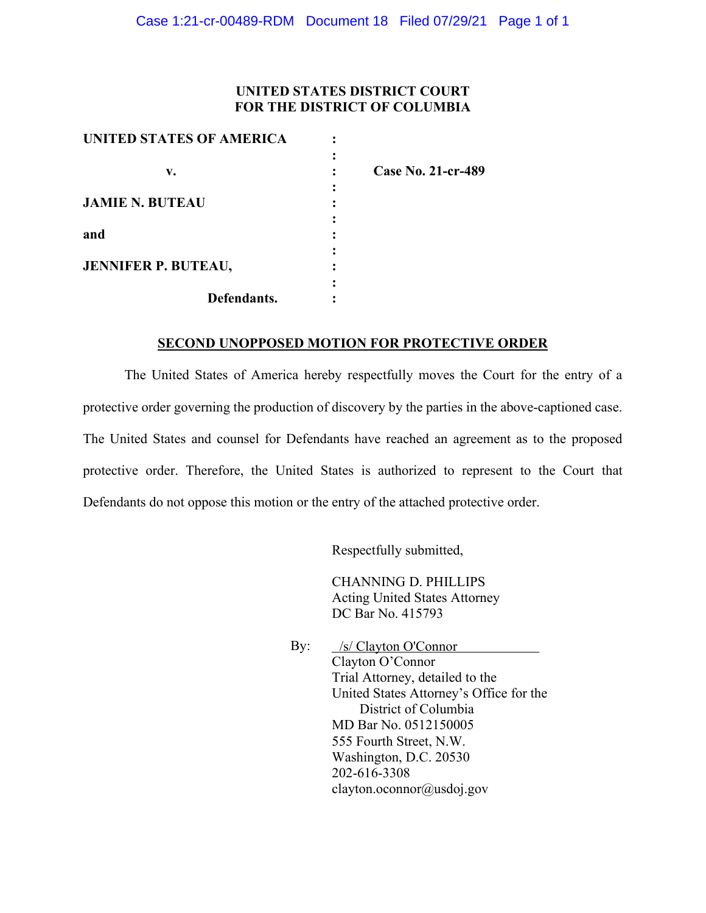### **UNITED STATES DISTRICT COURT FOR THE DISTRICT OF COLUMBIA**

| <b>UNITED STATES OF AMERICA</b> |                    |
|---------------------------------|--------------------|
|                                 |                    |
| v.                              | Case No. 21-cr-489 |
|                                 |                    |
| <b>JAMIE N. BUTEAU</b>          |                    |
|                                 |                    |
| and                             |                    |
|                                 |                    |
| <b>JENNIFER P. BUTEAU,</b>      |                    |
|                                 |                    |
| Defendants.                     |                    |

## **SECOND UNOPPOSED MOTION FOR PROTECTIVE ORDER**

The United States of America hereby respectfully moves the Court for the entry of a protective order governing the production of discovery by the parties in the above-captioned case. The United States and counsel for Defendants have reached an agreement as to the proposed protective order. Therefore, the United States is authorized to represent to the Court that Defendants do not oppose this motion or the entry of the attached protective order.

Respectfully submitted,

CHANNING D. PHILLIPS Acting United States Attorney DC Bar No. 415793

By: Clayton O'Connor Trial Attorney, detailed to the United States Attorney's Office for the District of Columbia MD Bar No. 0512150005 555 Fourth Street, N.W. Washington, D.C. 20530 202-616-3308 clayton.oconnor@usdoj.gov /s/ Clayton O'Connor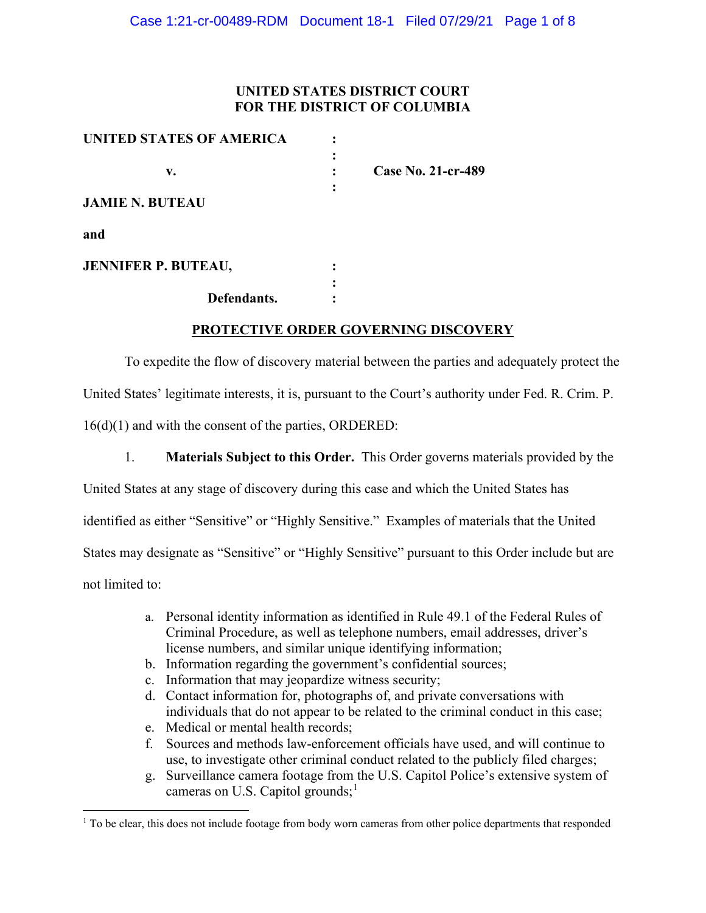## **UNITED STATES DISTRICT COURT FOR THE DISTRICT OF COLUMBIA**

| UNITED STATES OF AMERICA   |                           |
|----------------------------|---------------------------|
|                            |                           |
| v.                         | <b>Case No. 21-cr-489</b> |
|                            |                           |
| <b>JAMIE N. BUTEAU</b>     |                           |
| and                        |                           |
| <b>JENNIFER P. BUTEAU,</b> |                           |
|                            |                           |
| Defendants.                |                           |

### **PROTECTIVE ORDER GOVERNING DISCOVERY**

To expedite the flow of discovery material between the parties and adequately protect the United States' legitimate interests, it is, pursuant to the Court's authority under Fed. R. Crim. P. 16(d)(1) and with the consent of the parties, ORDERED:

1. **Materials Subject to this Order.** This Order governs materials provided by the

United States at any stage of discovery during this case and which the United States has

identified as either "Sensitive" or "Highly Sensitive." Examples of materials that the United

States may designate as "Sensitive" or "Highly Sensitive" pursuant to this Order include but are

not limited to:

- a. Personal identity information as identified in Rule 49.1 of the Federal Rules of Criminal Procedure, as well as telephone numbers, email addresses, driver's license numbers, and similar unique identifying information;
- b. Information regarding the government's confidential sources;
- c. Information that may jeopardize witness security;
- d. Contact information for, photographs of, and private conversations with individuals that do not appear to be related to the criminal conduct in this case;
- e. Medical or mental health records;
- f. Sources and methods law-enforcement officials have used, and will continue to use, to investigate other criminal conduct related to the publicly filed charges;
- g. Surveillance camera footage from the U.S. Capitol Police's extensive system of cameras on U.S. Capitol grounds;<sup>1</sup>

<sup>&</sup>lt;sup>1</sup> To be clear, this does not include footage from body worn cameras from other police departments that responded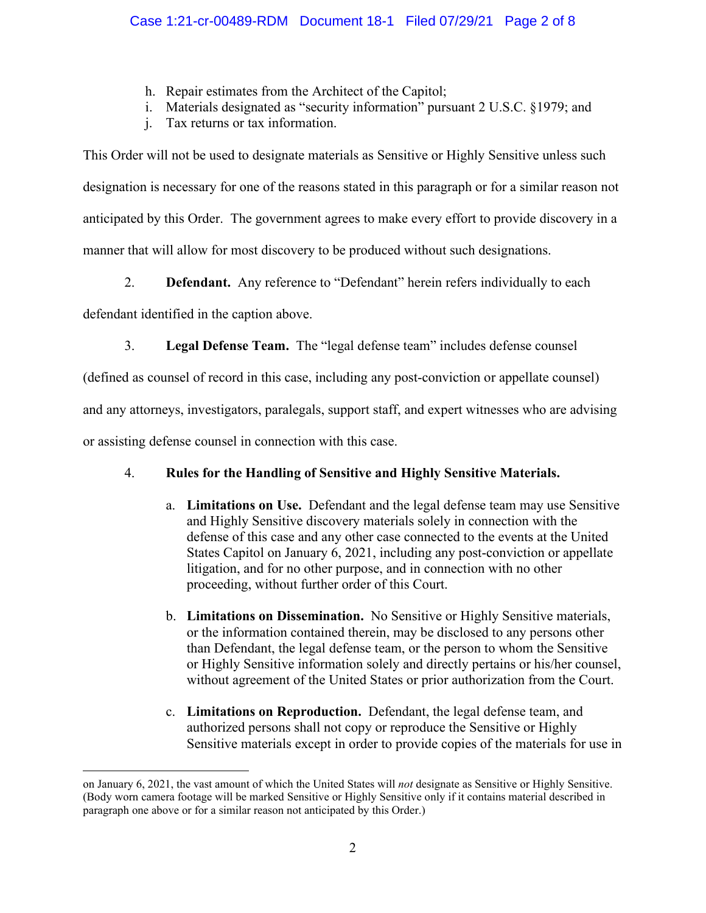- h. Repair estimates from the Architect of the Capitol;
- i. Materials designated as "security information" pursuant 2 U.S.C. §1979; and
- j. Tax returns or tax information.

This Order will not be used to designate materials as Sensitive or Highly Sensitive unless such designation is necessary for one of the reasons stated in this paragraph or for a similar reason not anticipated by this Order. The government agrees to make every effort to provide discovery in a manner that will allow for most discovery to be produced without such designations.

2. **Defendant.** Any reference to "Defendant" herein refers individually to each

defendant identified in the caption above.

3. **Legal Defense Team.** The "legal defense team" includes defense counsel

(defined as counsel of record in this case, including any post-conviction or appellate counsel)

and any attorneys, investigators, paralegals, support staff, and expert witnesses who are advising

or assisting defense counsel in connection with this case.

# 4. **Rules for the Handling of Sensitive and Highly Sensitive Materials.**

- a. **Limitations on Use.** Defendant and the legal defense team may use Sensitive and Highly Sensitive discovery materials solely in connection with the defense of this case and any other case connected to the events at the United States Capitol on January 6, 2021, including any post-conviction or appellate litigation, and for no other purpose, and in connection with no other proceeding, without further order of this Court.
- b. **Limitations on Dissemination.** No Sensitive or Highly Sensitive materials, or the information contained therein, may be disclosed to any persons other than Defendant, the legal defense team, or the person to whom the Sensitive or Highly Sensitive information solely and directly pertains or his/her counsel, without agreement of the United States or prior authorization from the Court.
- c. **Limitations on Reproduction.** Defendant, the legal defense team, and authorized persons shall not copy or reproduce the Sensitive or Highly Sensitive materials except in order to provide copies of the materials for use in

on January 6, 2021, the vast amount of which the United States will *not* designate as Sensitive or Highly Sensitive. (Body worn camera footage will be marked Sensitive or Highly Sensitive only if it contains material described in paragraph one above or for a similar reason not anticipated by this Order.)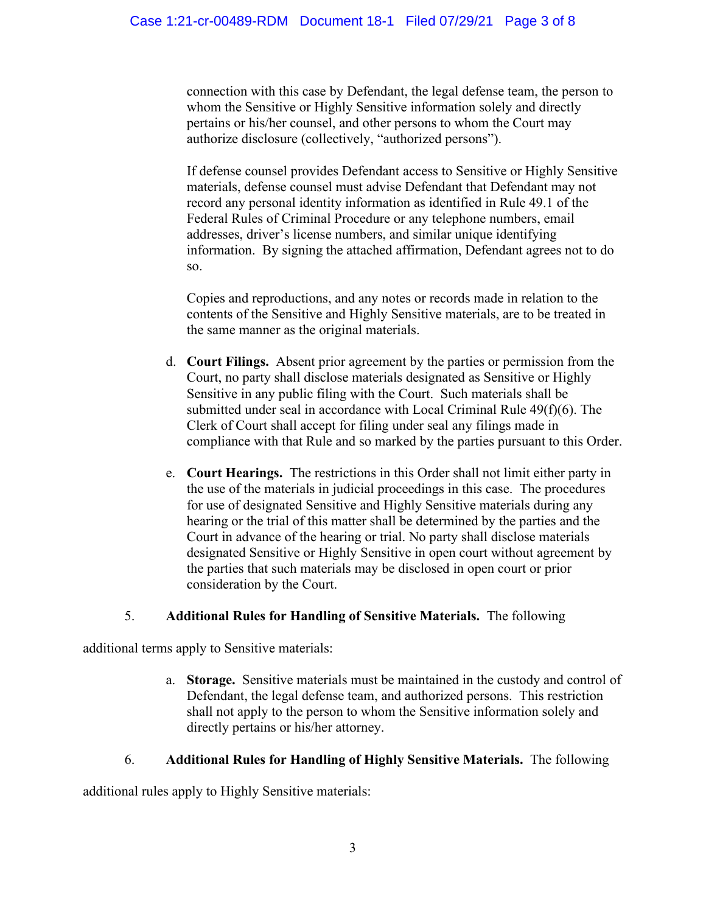connection with this case by Defendant, the legal defense team, the person to whom the Sensitive or Highly Sensitive information solely and directly pertains or his/her counsel, and other persons to whom the Court may authorize disclosure (collectively, "authorized persons").

If defense counsel provides Defendant access to Sensitive or Highly Sensitive materials, defense counsel must advise Defendant that Defendant may not record any personal identity information as identified in Rule 49.1 of the Federal Rules of Criminal Procedure or any telephone numbers, email addresses, driver's license numbers, and similar unique identifying information. By signing the attached affirmation, Defendant agrees not to do so.

Copies and reproductions, and any notes or records made in relation to the contents of the Sensitive and Highly Sensitive materials, are to be treated in the same manner as the original materials.

- d. **Court Filings.** Absent prior agreement by the parties or permission from the Court, no party shall disclose materials designated as Sensitive or Highly Sensitive in any public filing with the Court. Such materials shall be submitted under seal in accordance with Local Criminal Rule 49(f)(6). The Clerk of Court shall accept for filing under seal any filings made in compliance with that Rule and so marked by the parties pursuant to this Order.
- e. **Court Hearings.** The restrictions in this Order shall not limit either party in the use of the materials in judicial proceedings in this case. The procedures for use of designated Sensitive and Highly Sensitive materials during any hearing or the trial of this matter shall be determined by the parties and the Court in advance of the hearing or trial. No party shall disclose materials designated Sensitive or Highly Sensitive in open court without agreement by the parties that such materials may be disclosed in open court or prior consideration by the Court.

### 5. **Additional Rules for Handling of Sensitive Materials.** The following

additional terms apply to Sensitive materials:

a. **Storage.** Sensitive materials must be maintained in the custody and control of Defendant, the legal defense team, and authorized persons. This restriction shall not apply to the person to whom the Sensitive information solely and directly pertains or his/her attorney.

# 6. **Additional Rules for Handling of Highly Sensitive Materials.** The following

additional rules apply to Highly Sensitive materials: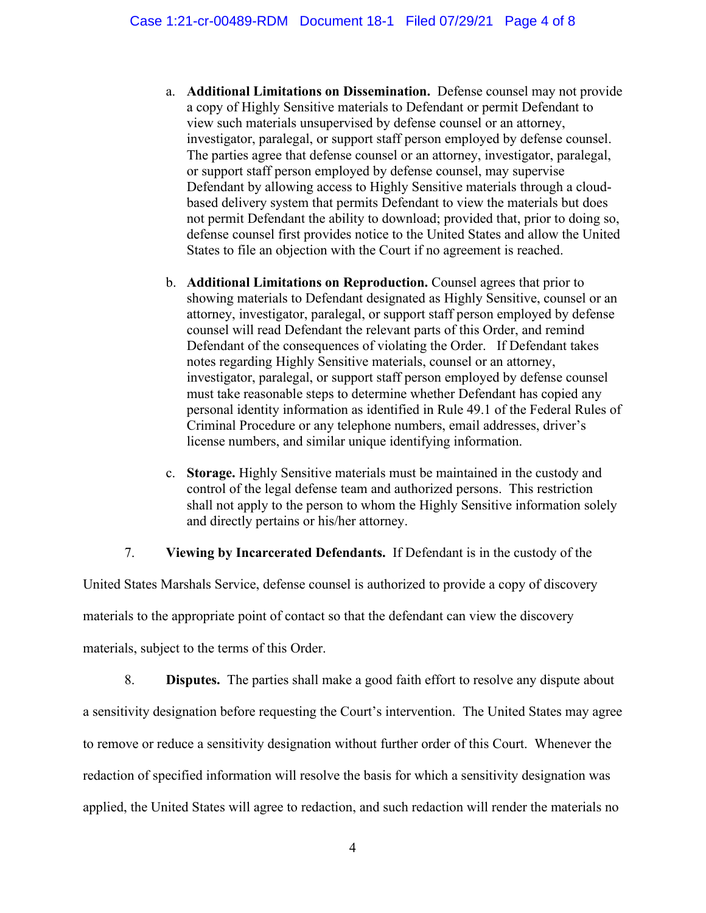- a. **Additional Limitations on Dissemination.** Defense counsel may not provide a copy of Highly Sensitive materials to Defendant or permit Defendant to view such materials unsupervised by defense counsel or an attorney, investigator, paralegal, or support staff person employed by defense counsel. The parties agree that defense counsel or an attorney, investigator, paralegal, or support staff person employed by defense counsel, may supervise Defendant by allowing access to Highly Sensitive materials through a cloudbased delivery system that permits Defendant to view the materials but does not permit Defendant the ability to download; provided that, prior to doing so, defense counsel first provides notice to the United States and allow the United States to file an objection with the Court if no agreement is reached.
- b. **Additional Limitations on Reproduction.** Counsel agrees that prior to showing materials to Defendant designated as Highly Sensitive, counsel or an attorney, investigator, paralegal, or support staff person employed by defense counsel will read Defendant the relevant parts of this Order, and remind Defendant of the consequences of violating the Order. If Defendant takes notes regarding Highly Sensitive materials, counsel or an attorney, investigator, paralegal, or support staff person employed by defense counsel must take reasonable steps to determine whether Defendant has copied any personal identity information as identified in Rule 49.1 of the Federal Rules of Criminal Procedure or any telephone numbers, email addresses, driver's license numbers, and similar unique identifying information.
- c. **Storage.** Highly Sensitive materials must be maintained in the custody and control of the legal defense team and authorized persons. This restriction shall not apply to the person to whom the Highly Sensitive information solely and directly pertains or his/her attorney.

7. **Viewing by Incarcerated Defendants.** If Defendant is in the custody of the

United States Marshals Service, defense counsel is authorized to provide a copy of discovery materials to the appropriate point of contact so that the defendant can view the discovery materials, subject to the terms of this Order.

8. **Disputes.** The parties shall make a good faith effort to resolve any dispute about a sensitivity designation before requesting the Court's intervention. The United States may agree to remove or reduce a sensitivity designation without further order of this Court. Whenever the redaction of specified information will resolve the basis for which a sensitivity designation was applied, the United States will agree to redaction, and such redaction will render the materials no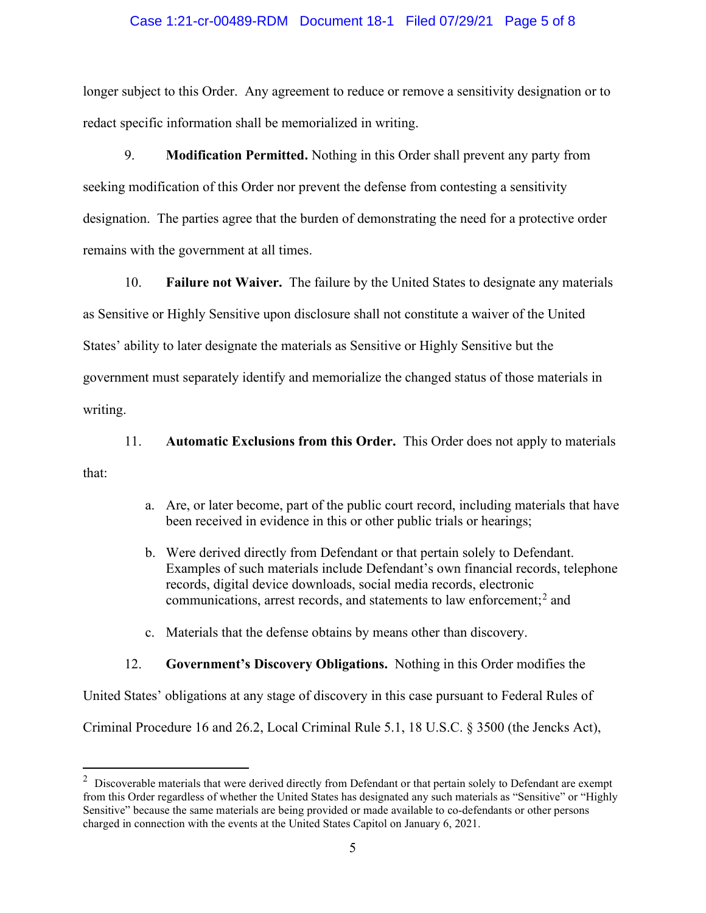#### Case 1:21-cr-00489-RDM Document 18-1 Filed 07/29/21 Page 5 of 8

longer subject to this Order. Any agreement to reduce or remove a sensitivity designation or to redact specific information shall be memorialized in writing.

9. **Modification Permitted.** Nothing in this Order shall prevent any party from seeking modification of this Order nor prevent the defense from contesting a sensitivity designation. The parties agree that the burden of demonstrating the need for a protective order remains with the government at all times.

10. **Failure not Waiver.** The failure by the United States to designate any materials as Sensitive or Highly Sensitive upon disclosure shall not constitute a waiver of the United States' ability to later designate the materials as Sensitive or Highly Sensitive but the government must separately identify and memorialize the changed status of those materials in writing.

11. **Automatic Exclusions from this Order.** This Order does not apply to materials that:

- a. Are, or later become, part of the public court record, including materials that have been received in evidence in this or other public trials or hearings;
- b. Were derived directly from Defendant or that pertain solely to Defendant. Examples of such materials include Defendant's own financial records, telephone records, digital device downloads, social media records, electronic communications, arrest records, and statements to law enforcement; <sup>2</sup> and
- c. Materials that the defense obtains by means other than discovery.

#### 12. **Government's Discovery Obligations.** Nothing in this Order modifies the

United States' obligations at any stage of discovery in this case pursuant to Federal Rules of

Criminal Procedure 16 and 26.2, Local Criminal Rule 5.1, 18 U.S.C. § 3500 (the Jencks Act),

 $2$  Discoverable materials that were derived directly from Defendant or that pertain solely to Defendant are exempt from this Order regardless of whether the United States has designated any such materials as "Sensitive" or "Highly Sensitive" because the same materials are being provided or made available to co-defendants or other persons charged in connection with the events at the United States Capitol on January 6, 2021.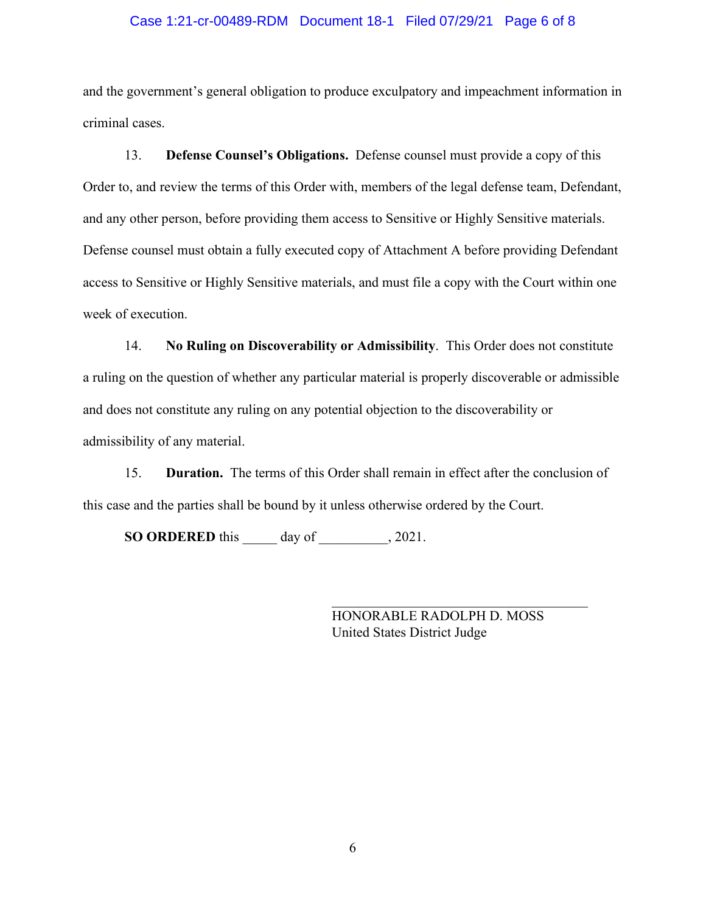#### Case 1:21-cr-00489-RDM Document 18-1 Filed 07/29/21 Page 6 of 8

and the government's general obligation to produce exculpatory and impeachment information in criminal cases.

13. **Defense Counsel's Obligations.** Defense counsel must provide a copy of this Order to, and review the terms of this Order with, members of the legal defense team, Defendant, and any other person, before providing them access to Sensitive or Highly Sensitive materials. Defense counsel must obtain a fully executed copy of Attachment A before providing Defendant access to Sensitive or Highly Sensitive materials, and must file a copy with the Court within one week of execution.

14. **No Ruling on Discoverability or Admissibility**. This Order does not constitute a ruling on the question of whether any particular material is properly discoverable or admissible and does not constitute any ruling on any potential objection to the discoverability or admissibility of any material.

15. **Duration.** The terms of this Order shall remain in effect after the conclusion of this case and the parties shall be bound by it unless otherwise ordered by the Court.

**SO ORDERED** this \_\_\_\_\_ day of \_\_\_\_\_\_\_\_\_\_, 2021.

HONORABLE RADOLPH D. MOSS United States District Judge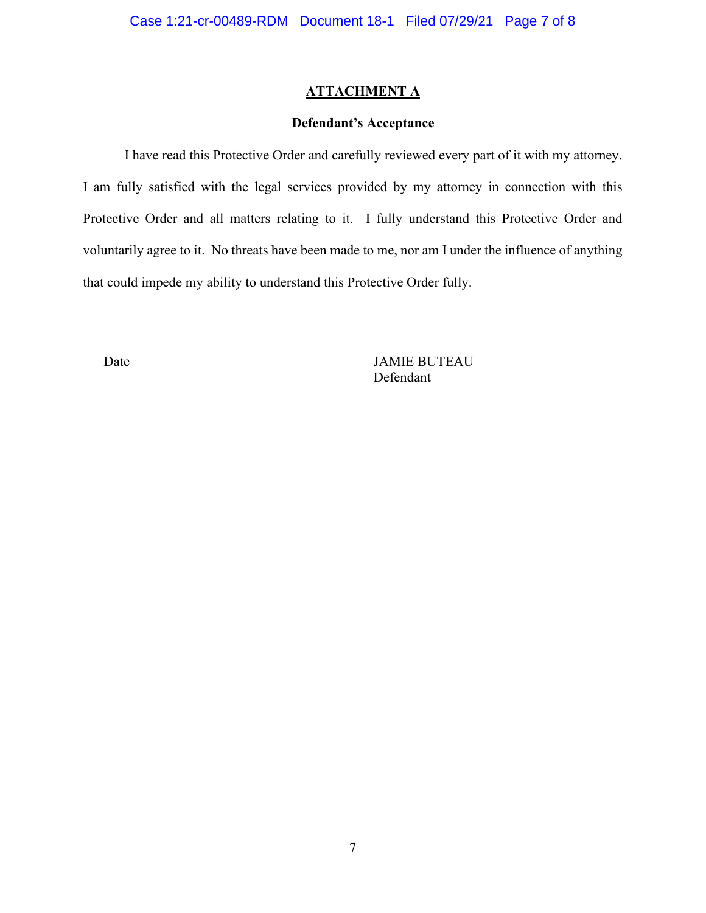### **ATTACHMENT A**

### **Defendant's Acceptance**

I have read this Protective Order and carefully reviewed every part of it with my attorney. I am fully satisfied with the legal services provided by my attorney in connection with this Protective Order and all matters relating to it. I fully understand this Protective Order and voluntarily agree to it. No threats have been made to me, nor am I under the influence of anything that could impede my ability to understand this Protective Order fully.

Date JAMIE BUTEAU Defendant